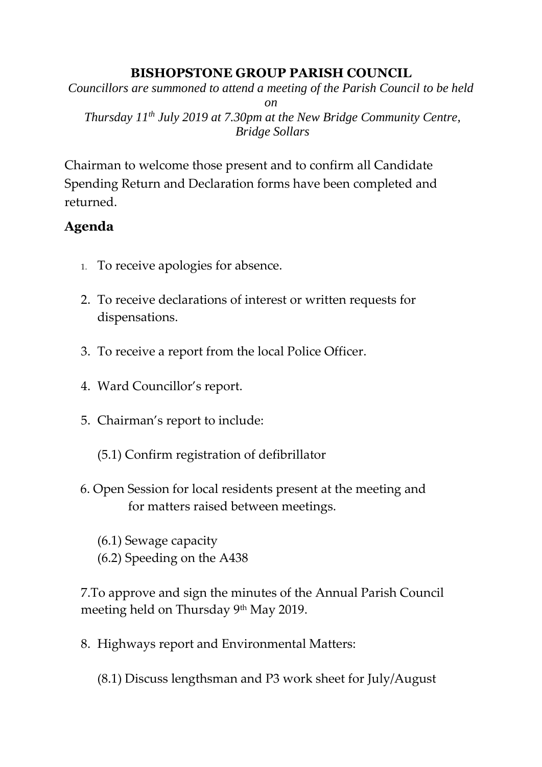## **BISHOPSTONE GROUP PARISH COUNCIL**

*Councillors are summoned to attend a meeting of the Parish Council to be held* 

*on*

*Thursday 11 th July 2019 at 7.30pm at the New Bridge Community Centre, Bridge Sollars*

Chairman to welcome those present and to confirm all Candidate Spending Return and Declaration forms have been completed and returned.

## **Agenda**

- 1. To receive apologies for absence.
- 2. To receive declarations of interest or written requests for dispensations.
- 3. To receive a report from the local Police Officer.
- 4. Ward Councillor's report.
- 5. Chairman's report to include:
	- (5.1) Confirm registration of defibrillator
- 6. Open Session for local residents present at the meeting and for matters raised between meetings.
	- (6.1) Sewage capacity
	- (6.2) Speeding on the A438

7.To approve and sign the minutes of the Annual Parish Council meeting held on Thursday 9<sup>th</sup> May 2019.

8. Highways report and Environmental Matters:

(8.1) Discuss lengthsman and P3 work sheet for July/August